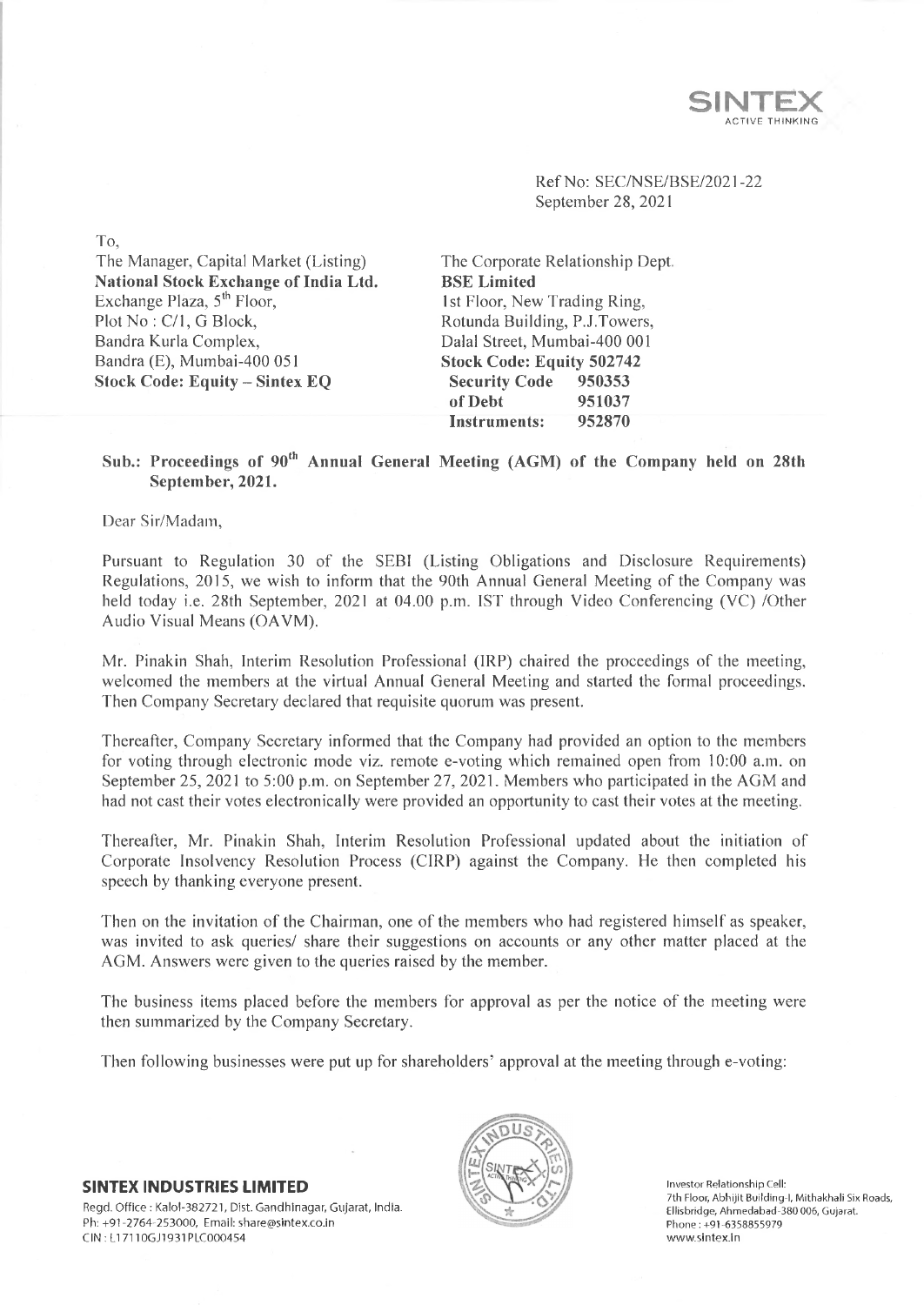

Ref No: SEC/NSE/BSE/2021-22 September 28, 2021

The Manager, Capital Market (Listing) **National Stock Exchange of India Ltd.** Exchange Plaza, 5<sup>th</sup> Floor, Plot No: C/1, G Block, Bandra Kurla Complex, Bandra (E), Mumbai-400 051 **Stock Code: Equity - Sintex EQ**

The Corporate Relationship Dept. **BSE Limited** 1st Floor, New Trading Ring, Rotunda Building, P.J.Towers, Dalai Street, Mumbai-400 001 **Stock Code: Equity 502742 Security Code 950353 of Debt 951037 Instruments: 952870**

## Sub.: Proceedings of 90<sup>th</sup> Annual General Meeting (AGM) of the Company held on 28th **September, 2021.**

Dear Sir/Madam,

To,

Pursuant to Regulation 30 of the SEBI (Listing Obligations and Disclosure Requirements) Regulations, 2015, we wish to inform that the 90th Annual General Meeting of the Company was held today i.e. 28th September, 2021 at 04.00 p.m. 1ST through Video Conferencing (VC) /Other Audio Visual Means (OAVM).

Mr. Pinakin Shah, Interim Resolution Professional (IRP) chaired the proceedings of the meeting, welcomed the members at the virtual Annual General Meeting and started the formal proceedings. Then Company Secretary declared that requisite quorum was present.

Thereafter, Company Secretary informed that the Company had provided an option to the members for voting through electronic mode viz. remote e-voting which remained open from 10:00 a.m. on September 25, 2021 to 5:00 p.m. on September 27, 2021. Members who participated in the AGM and had not cast their votes electronically were provided an opportunity to cast their votes at the meeting.

Thereafter, Mr. Pinakin Shah, Interim Resolution Professional updated about the initiation of Corporate Insolvency Resolution Process (CIRP) against the Company. He then completed his speech by thanking everyone present.

Then on the invitation of the Chairman, one of the members who had registered himself as speaker, was invited to ask queries/ share their suggestions on accounts or any other matter placed at the AGM. Answers were given to the queries raised by the member.

The business items placed before the members for approval as per the notice of the meeting were then summarized by the Company Secretary.

Then following businesses were put up for shareholders' approval at the meeting through e-voting:

**SINTEX INDUSTRIES LIMITED** Regd. Office : Kalol-382721, Dist. Gandhinagar, Gujarat, India. Ph: +91-2764-253000, Email: [share@sintex.co.in](mailto:share@sintex.co.in) CIN : LI 7110GJ1931PLC000454



Investor Relationship Cell: 7th Floor, Abhijit Building-1, Mithakhali Six Roads, Ellisbridge, Ahmedabad-380 006, Gujarat. Phone:+91-6358855979 [www.sintex.in](http://www.sintex.in)